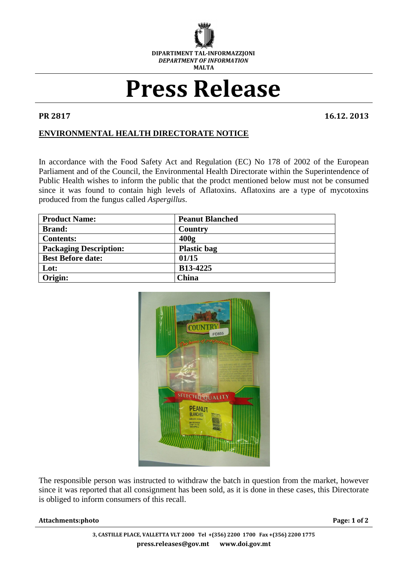

## **Press Release**

**PR 2817 16.12. 2013**

## **ENVIRONMENTAL HEALTH DIRECTORATE NOTICE**

In accordance with the Food Safety Act and Regulation (EC) No 178 of 2002 of the European Parliament and of the Council, the Environmental Health Directorate within the Superintendence of Public Health wishes to inform the public that the prodct mentioned below must not be consumed since it was found to contain high levels of Aflatoxins. Aflatoxins are a type of mycotoxins produced from the fungus called *Aspergillus*.

| <b>Product Name:</b>          | <b>Peanut Blanched</b> |
|-------------------------------|------------------------|
| <b>Brand:</b>                 | <b>Country</b>         |
| <b>Contents:</b>              | 400 <sub>g</sub>       |
| <b>Packaging Description:</b> | <b>Plastic bag</b>     |
| <b>Best Before date:</b>      | 01/15                  |
| Lot:                          | B13-4225               |
| Origin:                       | China                  |



The responsible person was instructed to withdraw the batch in question from the market, however since it was reported that all consignment has been sold, as it is done in these cases, this Directorate is obliged to inform consumers of this recall.

## **Attachments:photo Page: 1 of 2**